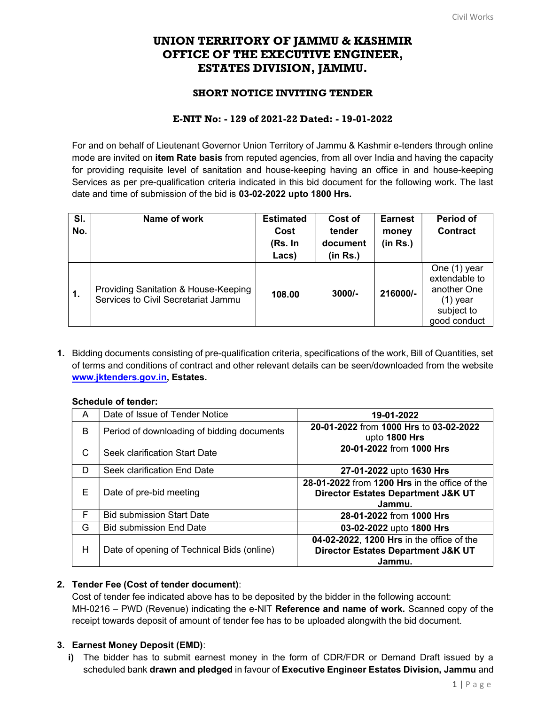# UNION TERRITORY OF JAMMU & KASHMIR OFFICE OF THE EXECUTIVE ENGINEER, ESTATES DIVISION, JAMMU.

## SHORT NOTICE INVITING TENDER

### E-NIT No: - 129 of 2021-22 Dated: - 19-01-2022

For and on behalf of Lieutenant Governor Union Territory of Jammu & Kashmir e-tenders through online mode are invited on **item Rate basis** from reputed agencies, from all over India and having the capacity for providing requisite level of sanitation and house-keeping having an office in and house-keeping Services as per pre-qualification criteria indicated in this bid document for the following work. The last date and time of submission of the bid is 03-02-2022 upto 1800 Hrs.

| SI.<br>No.    | Name of work                                                                | <b>Estimated</b><br>Cost<br>(Rs. In<br>Lacs) | Cost of<br>tender<br>document<br>(in Rs.) | <b>Earnest</b><br>money<br>(in Rs.) | <b>Period of</b><br><b>Contract</b>                                                      |
|---------------|-----------------------------------------------------------------------------|----------------------------------------------|-------------------------------------------|-------------------------------------|------------------------------------------------------------------------------------------|
| $\mathbf 1$ . | Providing Sanitation & House-Keeping<br>Services to Civil Secretariat Jammu | 108.00                                       | $3000/-$                                  | 216000/-                            | One (1) year<br>extendable to<br>another One<br>$(1)$ year<br>subject to<br>good conduct |

1. Bidding documents consisting of pre-qualification criteria, specifications of the work, Bill of Quantities, set of terms and conditions of contract and other relevant details can be seen/downloaded from the website www.jktenders.gov.in, Estates.

#### Schedule of tender:

| A  | Date of Issue of Tender Notice             | 19-01-2022                                                                                           |
|----|--------------------------------------------|------------------------------------------------------------------------------------------------------|
| B  | Period of downloading of bidding documents | 20-01-2022 from 1000 Hrs to 03-02-2022<br>upto 1800 Hrs                                              |
| C  | Seek clarification Start Date              | 20-01-2022 from 1000 Hrs                                                                             |
| D  | Seek clarification End Date                | 27-01-2022 upto 1630 Hrs                                                                             |
| Е  | Date of pre-bid meeting                    | 28-01-2022 from 1200 Hrs in the office of the<br>Director Estates Department J&K UT<br>Jammu.        |
| F. | <b>Bid submission Start Date</b>           | 28-01-2022 from 1000 Hrs                                                                             |
| G  | <b>Bid submission End Date</b>             | 03-02-2022 upto 1800 Hrs                                                                             |
| н  | Date of opening of Technical Bids (online) | 04-02-2022, 1200 Hrs in the office of the<br><b>Director Estates Department J&amp;K UT</b><br>Jammu. |

### 2. Tender Fee (Cost of tender document):

Cost of tender fee indicated above has to be deposited by the bidder in the following account: MH-0216 – PWD (Revenue) indicating the e-NIT **Reference and name of work.** Scanned copy of the receipt towards deposit of amount of tender fee has to be uploaded alongwith the bid document.

### 3. Earnest Money Deposit (EMD):

i) The bidder has to submit earnest money in the form of CDR/FDR or Demand Draft issued by a scheduled bank drawn and pledged in favour of Executive Engineer Estates Division, Jammu and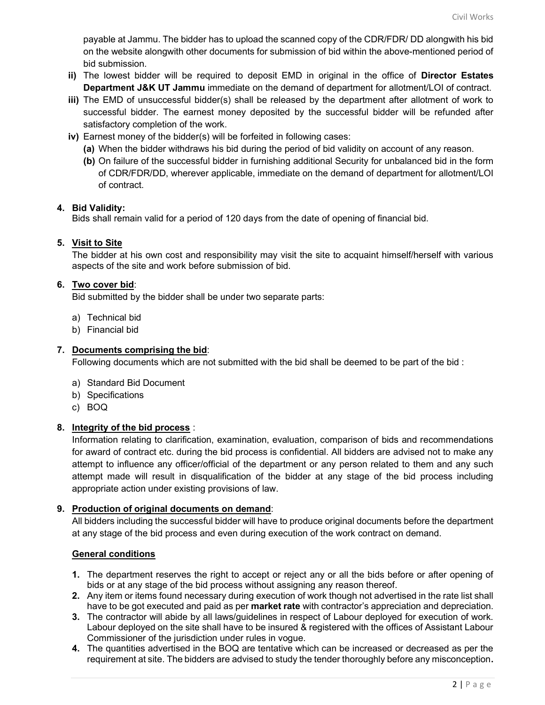payable at Jammu. The bidder has to upload the scanned copy of the CDR/FDR/ DD alongwith his bid on the website alongwith other documents for submission of bid within the above-mentioned period of bid submission.

- ii) The lowest bidder will be required to deposit EMD in original in the office of Director Estates Department J&K UT Jammu immediate on the demand of department for allotment/LOI of contract.
- iii) The EMD of unsuccessful bidder(s) shall be released by the department after allotment of work to successful bidder. The earnest money deposited by the successful bidder will be refunded after satisfactory completion of the work.
- iv) Earnest money of the bidder(s) will be forfeited in following cases:
	- (a) When the bidder withdraws his bid during the period of bid validity on account of any reason.
	- (b) On failure of the successful bidder in furnishing additional Security for unbalanced bid in the form of CDR/FDR/DD, wherever applicable, immediate on the demand of department for allotment/LOI of contract.

### 4. Bid Validity:

Bids shall remain valid for a period of 120 days from the date of opening of financial bid.

### 5. Visit to Site

The bidder at his own cost and responsibility may visit the site to acquaint himself/herself with various aspects of the site and work before submission of bid.

### 6. Two cover bid:

Bid submitted by the bidder shall be under two separate parts:

- a) Technical bid
- b) Financial bid

### 7. Documents comprising the bid:

Following documents which are not submitted with the bid shall be deemed to be part of the bid :

- a) Standard Bid Document
- b) Specifications
- c) BOQ

### 8. Integrity of the bid process :

Information relating to clarification, examination, evaluation, comparison of bids and recommendations for award of contract etc. during the bid process is confidential. All bidders are advised not to make any attempt to influence any officer/official of the department or any person related to them and any such attempt made will result in disqualification of the bidder at any stage of the bid process including appropriate action under existing provisions of law.

### 9. Production of original documents on demand:

All bidders including the successful bidder will have to produce original documents before the department at any stage of the bid process and even during execution of the work contract on demand.

### General conditions

- 1. The department reserves the right to accept or reject any or all the bids before or after opening of bids or at any stage of the bid process without assigning any reason thereof.
- 2. Any item or items found necessary during execution of work though not advertised in the rate list shall have to be got executed and paid as per **market rate** with contractor's appreciation and depreciation.
- 3. The contractor will abide by all laws/guidelines in respect of Labour deployed for execution of work. Labour deployed on the site shall have to be insured & registered with the offices of Assistant Labour Commissioner of the jurisdiction under rules in vogue.
- 4. The quantities advertised in the BOQ are tentative which can be increased or decreased as per the requirement at site. The bidders are advised to study the tender thoroughly before any misconception.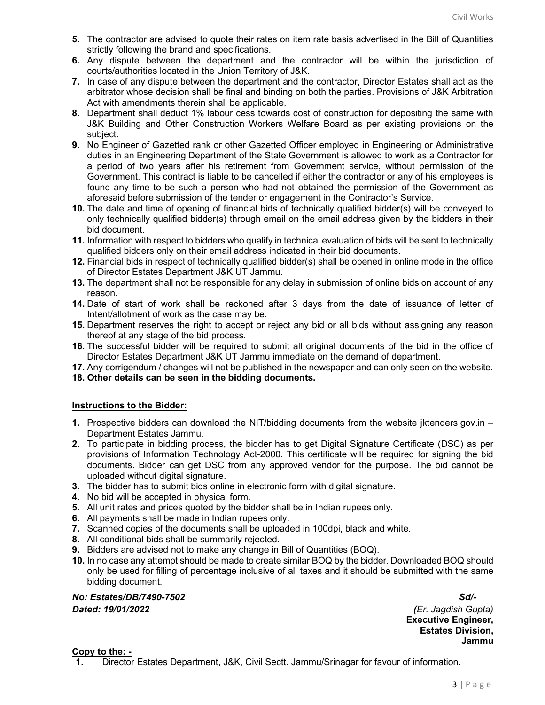- 5. The contractor are advised to quote their rates on item rate basis advertised in the Bill of Quantities strictly following the brand and specifications.
- 6. Any dispute between the department and the contractor will be within the jurisdiction of courts/authorities located in the Union Territory of J&K.
- 7. In case of any dispute between the department and the contractor, Director Estates shall act as the arbitrator whose decision shall be final and binding on both the parties. Provisions of J&K Arbitration Act with amendments therein shall be applicable.
- 8. Department shall deduct 1% labour cess towards cost of construction for depositing the same with J&K Building and Other Construction Workers Welfare Board as per existing provisions on the subject.
- 9. No Engineer of Gazetted rank or other Gazetted Officer employed in Engineering or Administrative duties in an Engineering Department of the State Government is allowed to work as a Contractor for a period of two years after his retirement from Government service, without permission of the Government. This contract is liable to be cancelled if either the contractor or any of his employees is found any time to be such a person who had not obtained the permission of the Government as aforesaid before submission of the tender or engagement in the Contractor's Service.
- 10. The date and time of opening of financial bids of technically qualified bidder(s) will be conveyed to only technically qualified bidder(s) through email on the email address given by the bidders in their bid document.
- 11. Information with respect to bidders who qualify in technical evaluation of bids will be sent to technically qualified bidders only on their email address indicated in their bid documents.
- 12. Financial bids in respect of technically qualified bidder(s) shall be opened in online mode in the office of Director Estates Department J&K UT Jammu.
- 13. The department shall not be responsible for any delay in submission of online bids on account of any reason.
- 14. Date of start of work shall be reckoned after 3 days from the date of issuance of letter of Intent/allotment of work as the case may be.
- 15. Department reserves the right to accept or reject any bid or all bids without assigning any reason thereof at any stage of the bid process.
- 16. The successful bidder will be required to submit all original documents of the bid in the office of Director Estates Department J&K UT Jammu immediate on the demand of department.
- 17. Any corrigendum / changes will not be published in the newspaper and can only seen on the website.
- 18. Other details can be seen in the bidding documents.

#### Instructions to the Bidder:

- 1. Prospective bidders can download the NIT/bidding documents from the website jktenders.gov.in Department Estates Jammu.
- 2. To participate in bidding process, the bidder has to get Digital Signature Certificate (DSC) as per provisions of Information Technology Act-2000. This certificate will be required for signing the bid documents. Bidder can get DSC from any approved vendor for the purpose. The bid cannot be uploaded without digital signature.
- 3. The bidder has to submit bids online in electronic form with digital signature.
- 4. No bid will be accepted in physical form.
- 5. All unit rates and prices quoted by the bidder shall be in Indian rupees only.
- 6. All payments shall be made in Indian rupees only.
- 7. Scanned copies of the documents shall be uploaded in 100dpi, black and white.
- 8. All conditional bids shall be summarily rejected.
- 9. Bidders are advised not to make any change in Bill of Quantities (BOQ).
- 10. In no case any attempt should be made to create similar BOQ by the bidder. Downloaded BOQ should only be used for filling of percentage inclusive of all taxes and it should be submitted with the same bidding document.

No: Estates/DB/7490-7502 Sd/-

Dated: 19/01/2022 (Er. Jagdish Gupta) Executive Engineer, Estates Division, Jammu

#### Copy to the: -

1. Director Estates Department, J&K, Civil Sectt. Jammu/Srinagar for favour of information.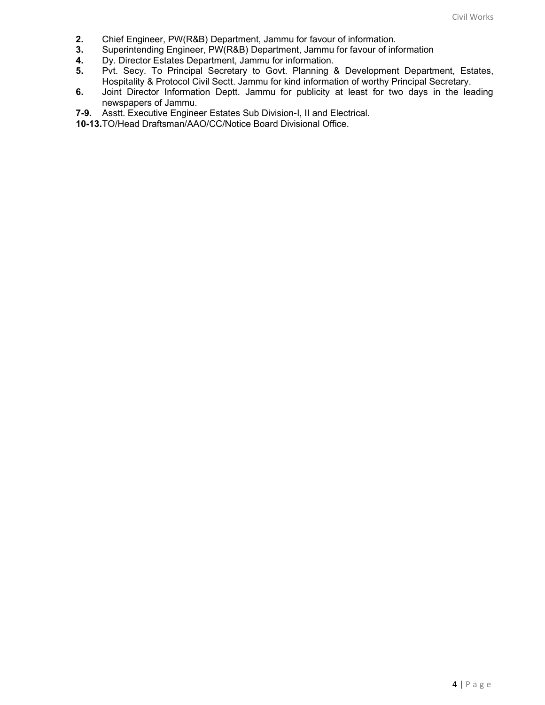- 2. Chief Engineer, PW(R&B) Department, Jammu for favour of information.
- 3. Superintending Engineer, PW(R&B) Department, Jammu for favour of information
- 4. Dy. Director Estates Department, Jammu for information.
- 5. Pvt. Secy. To Principal Secretary to Govt. Planning & Development Department, Estates, Hospitality & Protocol Civil Sectt. Jammu for kind information of worthy Principal Secretary.
- 6. Joint Director Information Deptt. Jammu for publicity at least for two days in the leading newspapers of Jammu.
- 7-9. Asstt. Executive Engineer Estates Sub Division-I, II and Electrical.
- 10-13. TO/Head Draftsman/AAO/CC/Notice Board Divisional Office.